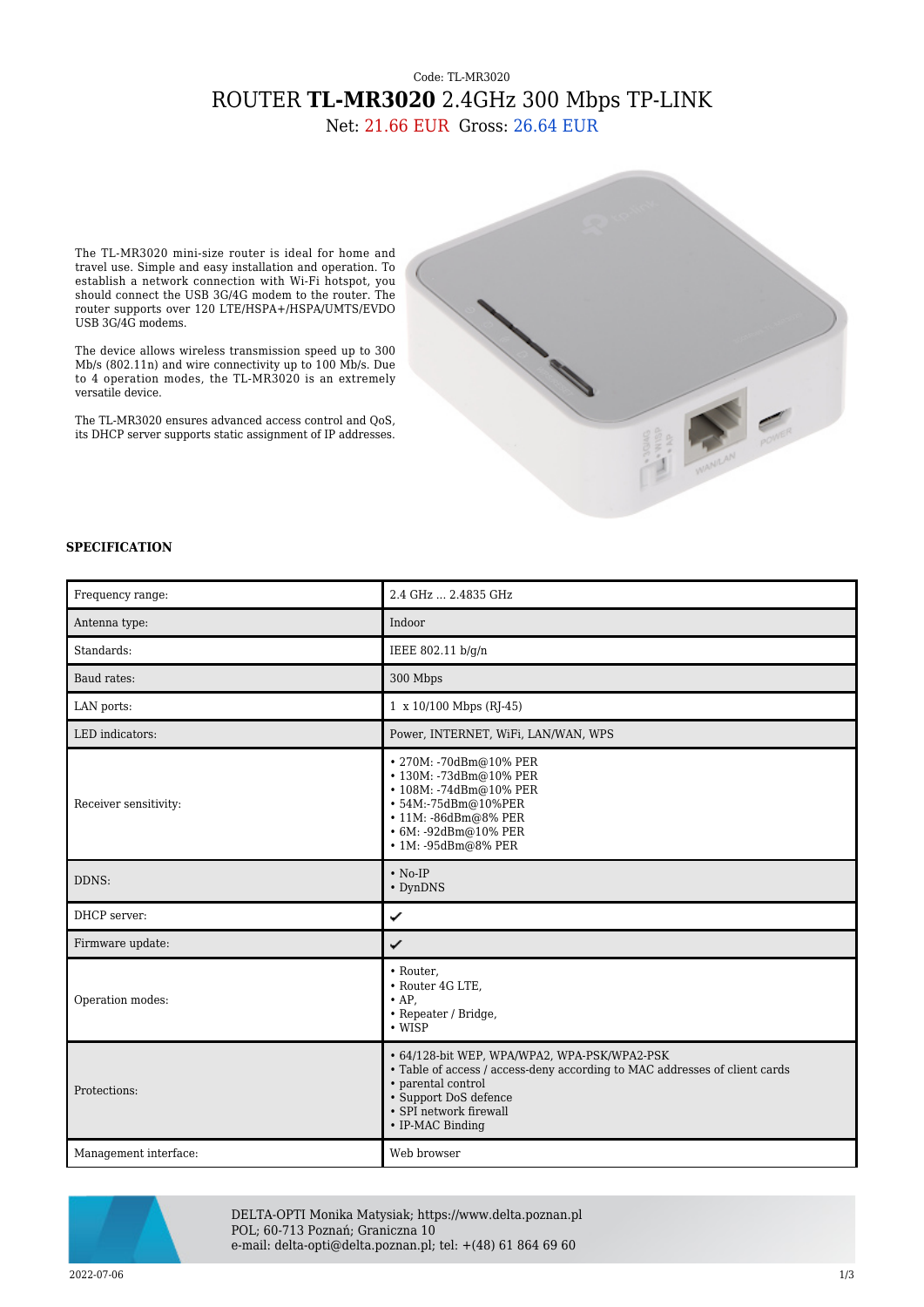## Code: TL-MR3020 ROUTER **TL-MR3020** 2.4GHz 300 Mbps TP-LINK

Net: 21.66 EUR Gross: 26.64 EUR

The TL-MR3020 mini-size router is ideal for home and travel use. Simple and easy installation and operation. To establish a network connection with Wi-Fi hotspot, you should connect the USB 3G/4G modem to the router. The router supports over 120 LTE/HSPA+/HSPA/UMTS/EVDO USB 3G/4G modems.

The device allows wireless transmission speed up to 300 Mb/s (802.11n) and wire connectivity up to 100 Mb/s. Due to 4 operation modes, the TL-MR3020 is an extremely versatile device.

The TL-MR3020 ensures advanced access control and QoS, its DHCP server supports static assignment of IP addresses.



## **SPECIFICATION**

| Frequency range:      | 2.4 GHz  2.4835 GHz                                                                                                                                                                                                     |
|-----------------------|-------------------------------------------------------------------------------------------------------------------------------------------------------------------------------------------------------------------------|
| Antenna type:         | Indoor                                                                                                                                                                                                                  |
| Standards:            | IEEE 802.11 b/g/n                                                                                                                                                                                                       |
| Baud rates:           | 300 Mbps                                                                                                                                                                                                                |
| LAN ports:            | 1 x 10/100 Mbps (RJ-45)                                                                                                                                                                                                 |
| LED indicators:       | Power, INTERNET, WiFi, LAN/WAN, WPS                                                                                                                                                                                     |
| Receiver sensitivity: | • 270M: -70dBm@10% PER<br>· 130M: -73dBm@10% PER<br>• 108M: -74dBm@10% PER<br>• 54M:-75dBm@10%PER<br>· 11M: -86dBm@8% PER<br>• 6M: -92dBm@10% PER<br>• 1M: -95dBm@8% PER                                                |
| DDNS:                 | $\cdot$ No-IP<br>• DynDNS                                                                                                                                                                                               |
| DHCP server:          | ✓                                                                                                                                                                                                                       |
| Firmware update:      | ✓                                                                                                                                                                                                                       |
| Operation modes:      | • Router.<br>• Router 4G LTE,<br>$\bullet$ AP.<br>• Repeater / Bridge,<br>$\cdot$ WISP                                                                                                                                  |
| Protections:          | • 64/128-bit WEP, WPA/WPA2, WPA-PSK/WPA2-PSK<br>• Table of access / access-deny according to MAC addresses of client cards<br>• parental control<br>• Support DoS defence<br>• SPI network firewall<br>• IP-MAC Binding |
| Management interface: | Web browser                                                                                                                                                                                                             |



DELTA-OPTI Monika Matysiak; https://www.delta.poznan.pl POL; 60-713 Poznań; Graniczna 10 e-mail: delta-opti@delta.poznan.pl; tel: +(48) 61 864 69 60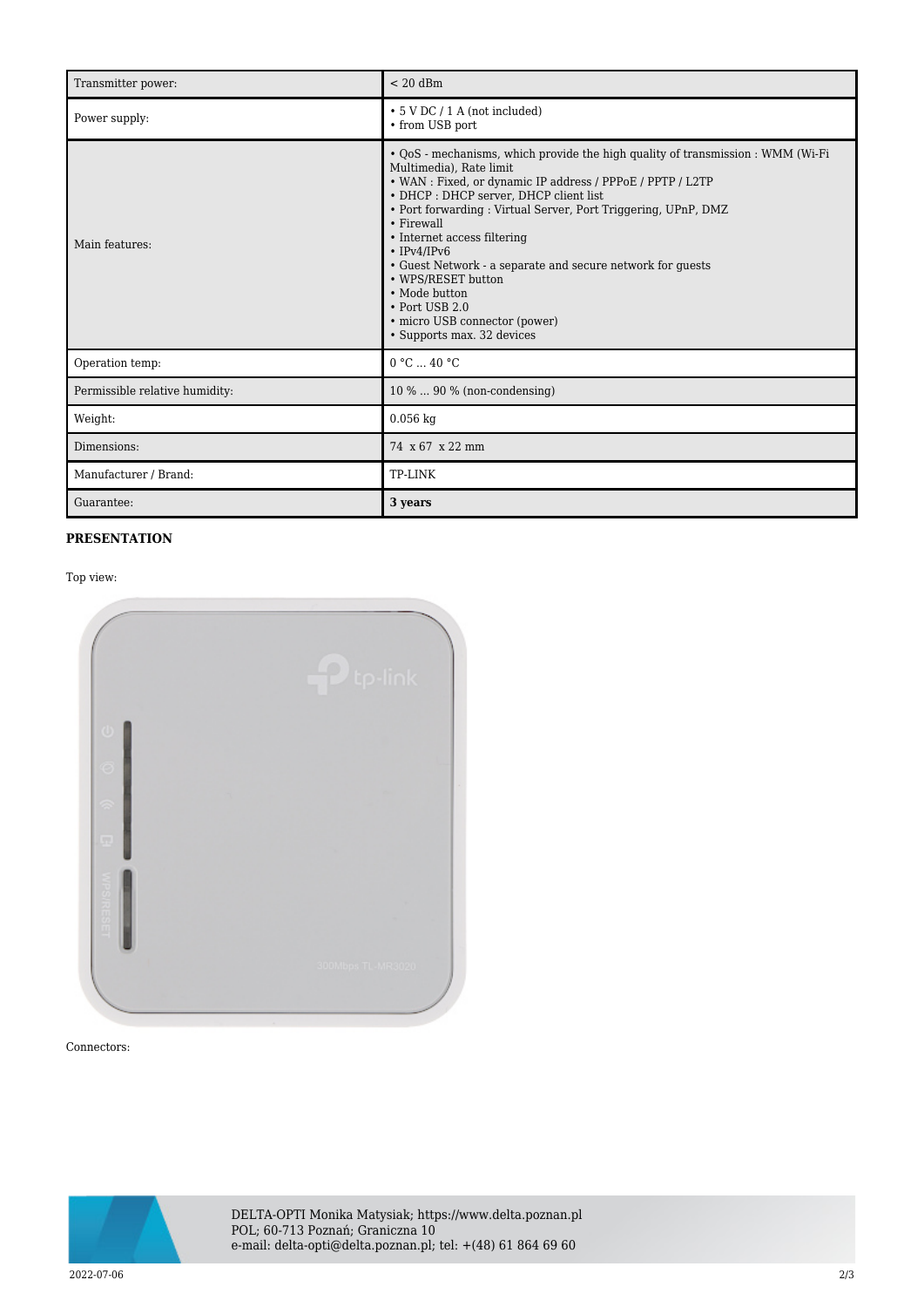| Transmitter power:             | $< 20$ dBm                                                                                                                                                                                                                                                                                                                                                                                                                                                                                                                                       |
|--------------------------------|--------------------------------------------------------------------------------------------------------------------------------------------------------------------------------------------------------------------------------------------------------------------------------------------------------------------------------------------------------------------------------------------------------------------------------------------------------------------------------------------------------------------------------------------------|
| Power supply:                  | $\cdot$ 5 V DC / 1 A (not included)<br>• from USB port                                                                                                                                                                                                                                                                                                                                                                                                                                                                                           |
| Main features:                 | • QoS - mechanisms, which provide the high quality of transmission : WMM (Wi-Fi<br>Multimedia), Rate limit<br>• WAN : Fixed, or dynamic IP address / PPPoE / PPTP / L2TP<br>• DHCP: DHCP server, DHCP client list<br>• Port forwarding: Virtual Server, Port Triggering, UPnP, DMZ<br>• Firewall<br>• Internet access filtering<br>$\cdot$ IPv4/IPv6<br>• Guest Network - a separate and secure network for guests<br>• WPS/RESET button<br>• Mode button<br>$\cdot$ Port USB 2.0<br>· micro USB connector (power)<br>• Supports max. 32 devices |
| Operation temp:                | 0 °C  40 °C                                                                                                                                                                                                                                                                                                                                                                                                                                                                                                                                      |
| Permissible relative humidity: | 10 %  90 % (non-condensing)                                                                                                                                                                                                                                                                                                                                                                                                                                                                                                                      |
| Weight:                        | $0.056$ kg                                                                                                                                                                                                                                                                                                                                                                                                                                                                                                                                       |
| Dimensions:                    | 74 x 67 x 22 mm                                                                                                                                                                                                                                                                                                                                                                                                                                                                                                                                  |
| Manufacturer / Brand:          | TP-LINK                                                                                                                                                                                                                                                                                                                                                                                                                                                                                                                                          |
| Guarantee:                     | 3 years                                                                                                                                                                                                                                                                                                                                                                                                                                                                                                                                          |

## **PRESENTATION**

Top view:



Connectors:



DELTA-OPTI Monika Matysiak; https://www.delta.poznan.pl POL; 60-713 Poznań; Graniczna 10 e-mail: delta-opti@delta.poznan.pl; tel: +(48) 61 864 69 60

2022-07-06 2/3